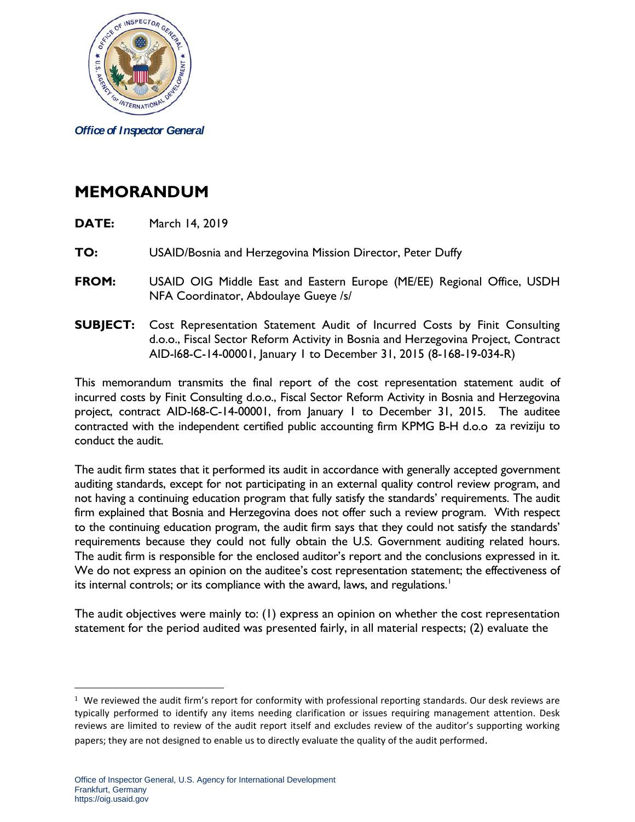

*Office of Inspector General*

## **MEMORANDUM**

- **DATE:** March 14, 2019
- **TO:** USAID/Bosnia and Herzegovina Mission Director, Peter Duffy
- **FROM:** USAID OIG Middle East and Eastern Europe (ME/EE) Regional Office, USDH NFA Coordinator, Abdoulaye Gueye /s/
- **SUBJECT:** Cost Representation Statement Audit of Incurred Costs by Finit Consulting d.o.o., Fiscal Sector Reform Activity in Bosnia and Herzegovina Project, Contract AID-l68-C-14-00001, January 1 to December 31, 2015 (8-168-19-034-R)

This memorandum transmits the final report of the cost representation statement audit of incurred costs by Finit Consulting d.o.o., Fiscal Sector Reform Activity in Bosnia and Herzegovina project, contract AID-l68-C-14-00001, from January 1 to December 31, 2015. The auditee contracted with the independent certified public accounting firm KPMG B-H d.o.o za reviziju to conduct the audit.

The audit firm states that it performed its audit in accordance with generally accepted government auditing standards, except for not participating in an external quality control review program, and not having a continuing education program that fully satisfy the standards' requirements. The audit firm explained that Bosnia and Herzegovina does not offer such a review program. With respect to the continuing education program, the audit firm says that they could not satisfy the standards' requirements because they could not fully obtain the U.S. Government auditing related hours. The audit firm is responsible for the enclosed auditor's report and the conclusions expressed in it. We do not express an opinion on the auditee's cost representation statement; the effectiveness of its internal controls; or its compliance with the award, laws, and regulations.<sup>[1](#page-0-0)</sup>

The audit objectives were mainly to: (1) express an opinion on whether the cost representation statement for the period audited was presented fairly, in all material respects; (2) evaluate the

 $\overline{a}$ 

<span id="page-0-0"></span> $1$  We reviewed the audit firm's report for conformity with professional reporting standards. Our desk reviews are typically performed to identify any items needing clarification or issues requiring management attention. Desk reviews are limited to review of the audit report itself and excludes review of the auditor's supporting working papers; they are not designed to enable us to directly evaluate the quality of the audit performed.